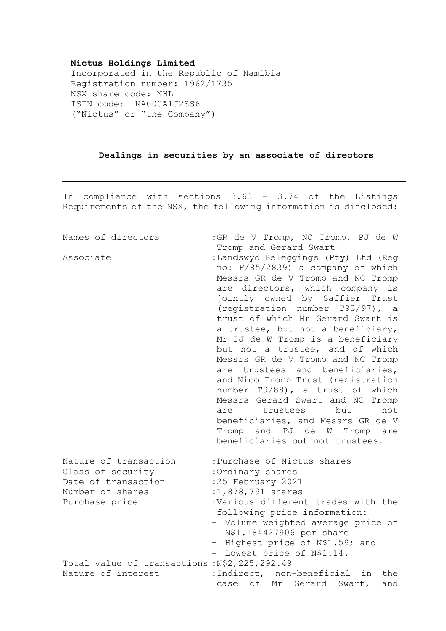## **Nictus Holdings Limited**

Incorporated in the Republic of Namibia Registration number: 1962/1735 NSX share code: NHL ISIN code: NA000A1J2SS6 ("Nictus" or "the Company")

## **Dealings in securities by an associate of directors**

In compliance with sections 3.63 – 3.74 of the Listings Requirements of the NSX, the following information is disclosed:

| Names of directors                                                                                                                                        | : GR de V Tromp, NC Tromp, PJ de W                                                                                                                                                                                                                                                                                                                                                                                                                                                                                                                                                                                                                                                                   |
|-----------------------------------------------------------------------------------------------------------------------------------------------------------|------------------------------------------------------------------------------------------------------------------------------------------------------------------------------------------------------------------------------------------------------------------------------------------------------------------------------------------------------------------------------------------------------------------------------------------------------------------------------------------------------------------------------------------------------------------------------------------------------------------------------------------------------------------------------------------------------|
|                                                                                                                                                           | Tromp and Gerard Swart                                                                                                                                                                                                                                                                                                                                                                                                                                                                                                                                                                                                                                                                               |
| Associate                                                                                                                                                 | :Landswyd Beleggings (Pty) Ltd (Reg<br>no: F/85/2839) a company of which<br>Messrs GR de V Tromp and NC Tromp<br>are directors, which company is<br>jointly owned by Saffier Trust<br>(registration number T93/97), a<br>trust of which Mr Gerard Swart is<br>a trustee, but not a beneficiary,<br>Mr PJ de W Tromp is a beneficiary<br>but not a trustee, and of which<br>Messrs GR de V Tromp and NC Tromp<br>are trustees and beneficiaries,<br>and Nico Tromp Trust (registration<br>number T9/88), a trust of which<br>Messrs Gerard Swart and NC Tromp<br>trustees<br>but<br>not<br>are<br>beneficiaries, and Messrs GR de V<br>Tromp and PJ de W Tromp are<br>beneficiaries but not trustees. |
| Nature of transaction<br>Class of security<br>Date of transaction<br>Number of shares<br>Purchase price<br>Total value of transactions: N\$2, 225, 292.49 | :Purchase of Nictus shares<br>:Ordinary shares<br>:25 February 2021<br>:1,878,791 shares<br>:Various different trades with the<br>following price information:<br>- Volume weighted average price of<br>N\$1.184427906 per share<br>- Highest price of N\$1.59; and<br>Lowest price of N\$1.14.<br>$-$                                                                                                                                                                                                                                                                                                                                                                                               |
| Nature of interest                                                                                                                                        | :Indirect, non-beneficial<br>in<br>the                                                                                                                                                                                                                                                                                                                                                                                                                                                                                                                                                                                                                                                               |
|                                                                                                                                                           | of<br>Mr Gerard<br>Swart,<br>case<br>and                                                                                                                                                                                                                                                                                                                                                                                                                                                                                                                                                                                                                                                             |